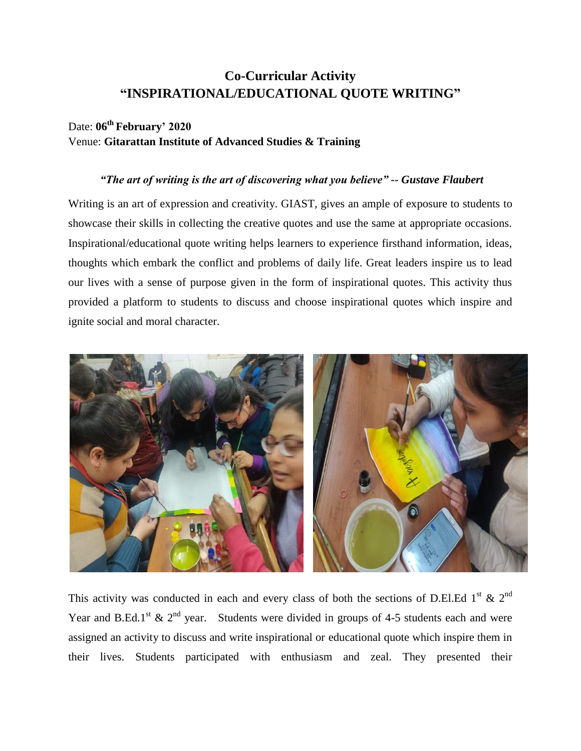## **Co-Curricular Activity "INSPIRATIONAL/EDUCATIONAL QUOTE WRITING"**

## Date: **06 th February' 2020** Venue: **Gitarattan Institute of Advanced Studies & Training**

## *"The art of writing is the art of discovering what you believe" -- Gustave Flaubert*

Writing is an art of expression and creativity. GIAST, gives an ample of exposure to students to showcase their skills in collecting the creative quotes and use the same at appropriate occasions. Inspirational/educational quote writing helps learners to experience firsthand information, ideas, thoughts which embark the conflict and problems of daily life. Great leaders inspire us to lead our lives with a sense of purpose given in the form of inspirational quotes. This activity thus provided a platform to students to discuss and choose inspirational quotes which inspire and ignite social and moral character.



This activity was conducted in each and every class of both the sections of D.El.Ed 1<sup>st</sup> & 2<sup>nd</sup> Year and B.Ed.1<sup>st</sup> & 2<sup>nd</sup> year. Students were divided in groups of 4-5 students each and were assigned an activity to discuss and write inspirational or educational quote which inspire them in their lives. Students participated with enthusiasm and zeal. They presented their